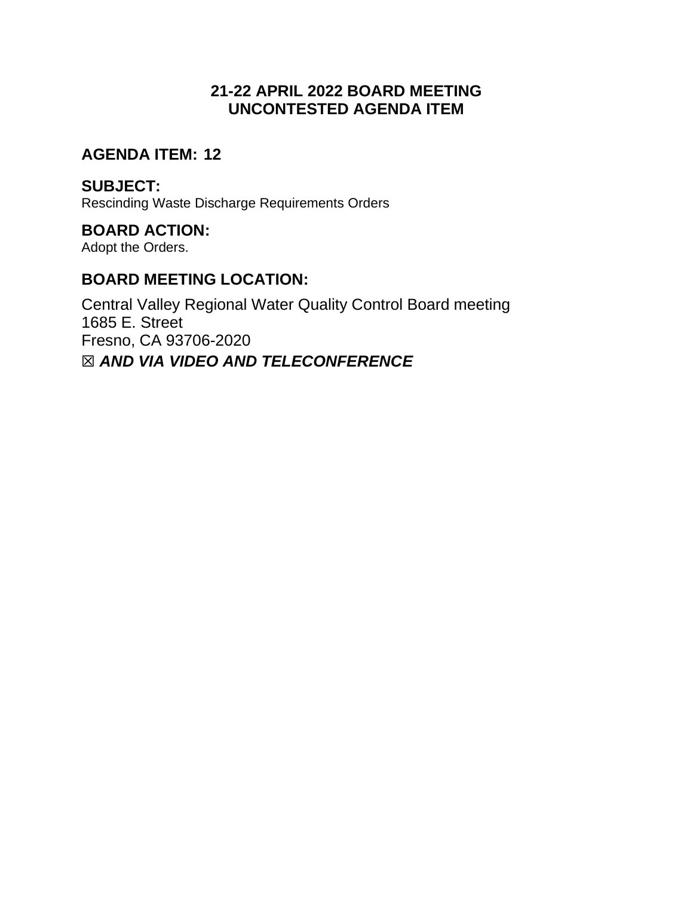# **21-22 APRIL 2022 BOARD MEETING UNCONTESTED AGENDA ITEM**

## **AGENDA ITEM: 12**

## **SUBJECT:**

Rescinding Waste Discharge Requirements Orders

## **BOARD ACTION:**

Adopt the Orders.

# **BOARD MEETING LOCATION:**

Central Valley Regional Water Quality Control Board meeting 1685 E. Street Fresno, CA 93706-2020 ☒ *AND VIA VIDEO AND TELECONFERENCE*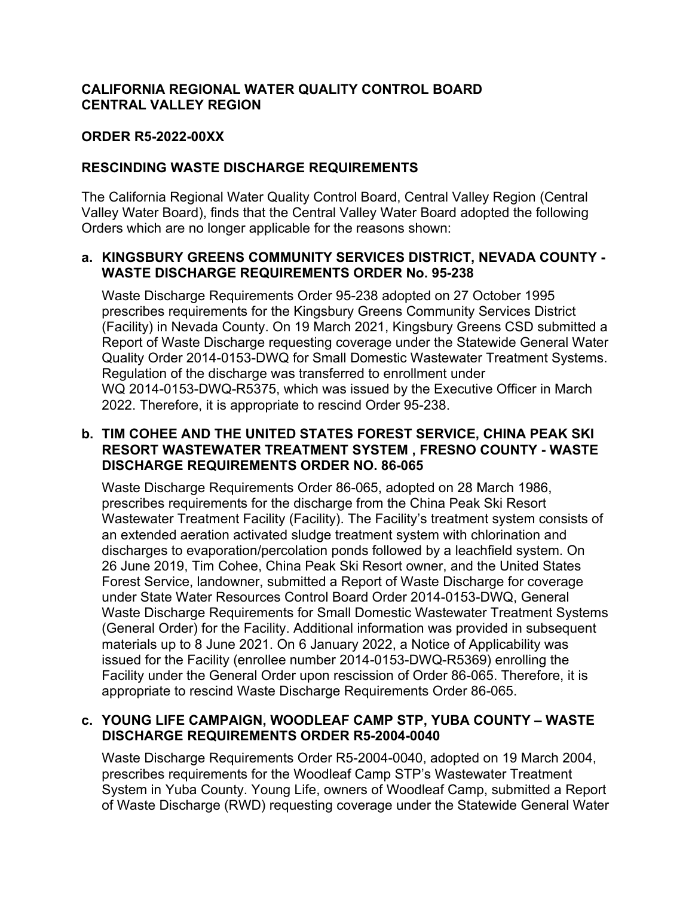### **CALIFORNIA REGIONAL WATER QUALITY CONTROL BOARD CENTRAL VALLEY REGION**

#### **ORDER R5-2022-00XX**

#### **RESCINDING WASTE DISCHARGE REQUIREMENTS**

The California Regional Water Quality Control Board, Central Valley Region (Central Valley Water Board), finds that the Central Valley Water Board adopted the following Orders which are no longer applicable for the reasons shown:

#### **a. KINGSBURY GREENS COMMUNITY SERVICES DISTRICT, NEVADA COUNTY - WASTE DISCHARGE REQUIREMENTS ORDER No. 95-238**

Waste Discharge Requirements Order 95-238 adopted on 27 October 1995 prescribes requirements for the Kingsbury Greens Community Services District (Facility) in Nevada County. On 19 March 2021, Kingsbury Greens CSD submitted a Report of Waste Discharge requesting coverage under the Statewide General Water Quality Order 2014-0153-DWQ for Small Domestic Wastewater Treatment Systems. Regulation of the discharge was transferred to enrollment under WQ 2014-0153-DWQ-R5375, which was issued by the Executive Officer in March 2022. Therefore, it is appropriate to rescind Order 95-238.

#### **b. TIM COHEE AND THE UNITED STATES FOREST SERVICE, CHINA PEAK SKI RESORT WASTEWATER TREATMENT SYSTEM , FRESNO COUNTY - WASTE DISCHARGE REQUIREMENTS ORDER NO. 86-065**

Waste Discharge Requirements Order 86-065, adopted on 28 March 1986, prescribes requirements for the discharge from the China Peak Ski Resort Wastewater Treatment Facility (Facility). The Facility's treatment system consists of an extended aeration activated sludge treatment system with chlorination and discharges to evaporation/percolation ponds followed by a leachfield system. On 26 June 2019, Tim Cohee, China Peak Ski Resort owner, and the United States Forest Service, landowner, submitted a Report of Waste Discharge for coverage under State Water Resources Control Board Order 2014-0153-DWQ, General Waste Discharge Requirements for Small Domestic Wastewater Treatment Systems (General Order) for the Facility. Additional information was provided in subsequent materials up to 8 June 2021. On 6 January 2022, a Notice of Applicability was issued for the Facility (enrollee number 2014-0153-DWQ-R5369) enrolling the Facility under the General Order upon rescission of Order 86-065. Therefore, it is appropriate to rescind Waste Discharge Requirements Order 86-065.

### **c. YOUNG LIFE CAMPAIGN, WOODLEAF CAMP STP, YUBA COUNTY – WASTE DISCHARGE REQUIREMENTS ORDER R5-2004-0040**

Waste Discharge Requirements Order R5-2004-0040, adopted on 19 March 2004, prescribes requirements for the Woodleaf Camp STP's Wastewater Treatment System in Yuba County. Young Life, owners of Woodleaf Camp, submitted a Report of Waste Discharge (RWD) requesting coverage under the Statewide General Water